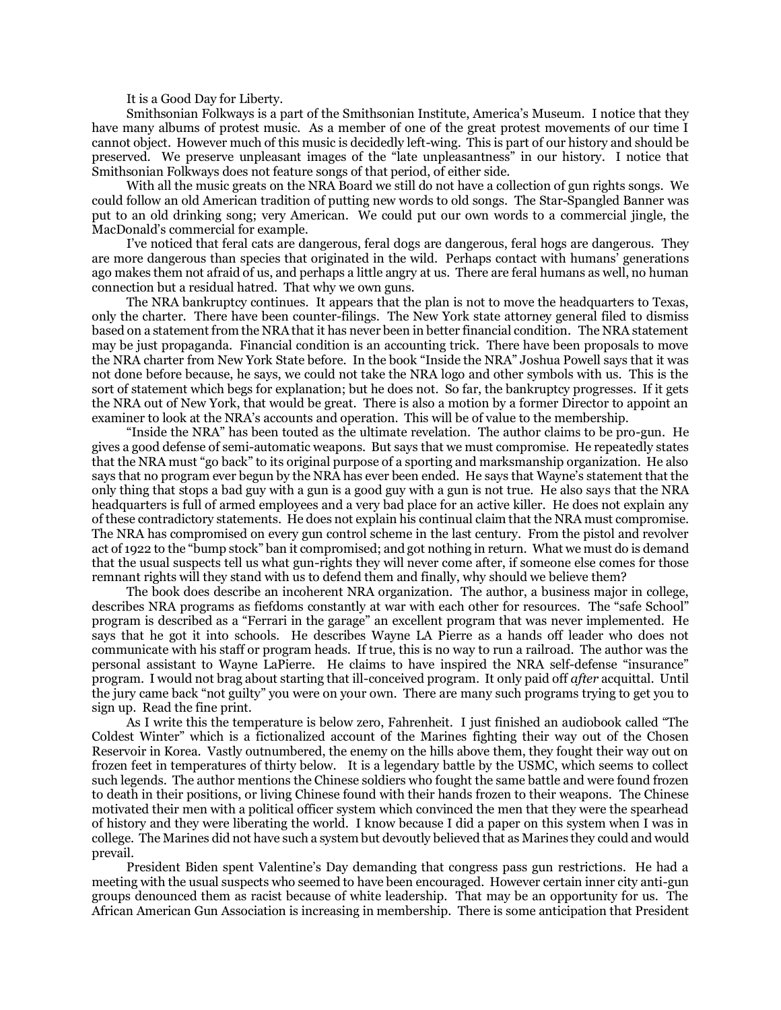It is a Good Day for Liberty.

Smithsonian Folkways is a part of the Smithsonian Institute, America's Museum. I notice that they have many albums of protest music. As a member of one of the great protest movements of our time I cannot object. However much of this music is decidedly left-wing. This is part of our history and should be preserved. We preserve unpleasant images of the "late unpleasantness" in our history. I notice that Smithsonian Folkways does not feature songs of that period, of either side.

With all the music greats on the NRA Board we still do not have a collection of gun rights songs. We could follow an old American tradition of putting new words to old songs. The Star-Spangled Banner was put to an old drinking song; very American. We could put our own words to a commercial jingle, the MacDonald's commercial for example.

I've noticed that feral cats are dangerous, feral dogs are dangerous, feral hogs are dangerous. They are more dangerous than species that originated in the wild. Perhaps contact with humans' generations ago makes them not afraid of us, and perhaps a little angry at us. There are feral humans as well, no human connection but a residual hatred. That why we own guns.

The NRA bankruptcy continues. It appears that the plan is not to move the headquarters to Texas, only the charter. There have been counter-filings. The New York state attorney general filed to dismiss based on a statement from the NRA that it has never been in better financial condition. The NRA statement may be just propaganda. Financial condition is an accounting trick. There have been proposals to move the NRA charter from New York State before. In the book "Inside the NRA" Joshua Powell says that it was not done before because, he says, we could not take the NRA logo and other symbols with us. This is the sort of statement which begs for explanation; but he does not. So far, the bankruptcy progresses. If it gets the NRA out of New York, that would be great. There is also a motion by a former Director to appoint an examiner to look at the NRA's accounts and operation. This will be of value to the membership.

"Inside the NRA" has been touted as the ultimate revelation. The author claims to be pro-gun. He gives a good defense of semi-automatic weapons. But says that we must compromise. He repeatedly states that the NRA must "go back" to its original purpose of a sporting and marksmanship organization. He also says that no program ever begun by the NRA has ever been ended. He says that Wayne's statement that the only thing that stops a bad guy with a gun is a good guy with a gun is not true. He also says that the NRA headquarters is full of armed employees and a very bad place for an active killer. He does not explain any of these contradictory statements. He does not explain his continual claim that the NRA must compromise. The NRA has compromised on every gun control scheme in the last century. From the pistol and revolver act of 1922 to the "bump stock" ban it compromised; and got nothing in return. What we must do is demand that the usual suspects tell us what gun-rights they will never come after, if someone else comes for those remnant rights will they stand with us to defend them and finally, why should we believe them?

The book does describe an incoherent NRA organization. The author, a business major in college, describes NRA programs as fiefdoms constantly at war with each other for resources. The "safe School" program is described as a "Ferrari in the garage" an excellent program that was never implemented. He says that he got it into schools. He describes Wayne LA Pierre as a hands off leader who does not communicate with his staff or program heads. If true, this is no way to run a railroad. The author was the personal assistant to Wayne LaPierre. He claims to have inspired the NRA self-defense "insurance" program. I would not brag about starting that ill-conceived program. It only paid off *after* acquittal. Until the jury came back "not guilty" you were on your own. There are many such programs trying to get you to sign up. Read the fine print.

As I write this the temperature is below zero, Fahrenheit. I just finished an audiobook called "The Coldest Winter" which is a fictionalized account of the Marines fighting their way out of the Chosen Reservoir in Korea. Vastly outnumbered, the enemy on the hills above them, they fought their way out on frozen feet in temperatures of thirty below. It is a legendary battle by the USMC, which seems to collect such legends. The author mentions the Chinese soldiers who fought the same battle and were found frozen to death in their positions, or living Chinese found with their hands frozen to their weapons. The Chinese motivated their men with a political officer system which convinced the men that they were the spearhead of history and they were liberating the world. I know because I did a paper on this system when I was in college. The Marines did not have such a system but devoutly believed that as Marines they could and would prevail.

President Biden spent Valentine's Day demanding that congress pass gun restrictions. He had a meeting with the usual suspects who seemed to have been encouraged. However certain inner city anti-gun groups denounced them as racist because of white leadership. That may be an opportunity for us. The African American Gun Association is increasing in membership. There is some anticipation that President